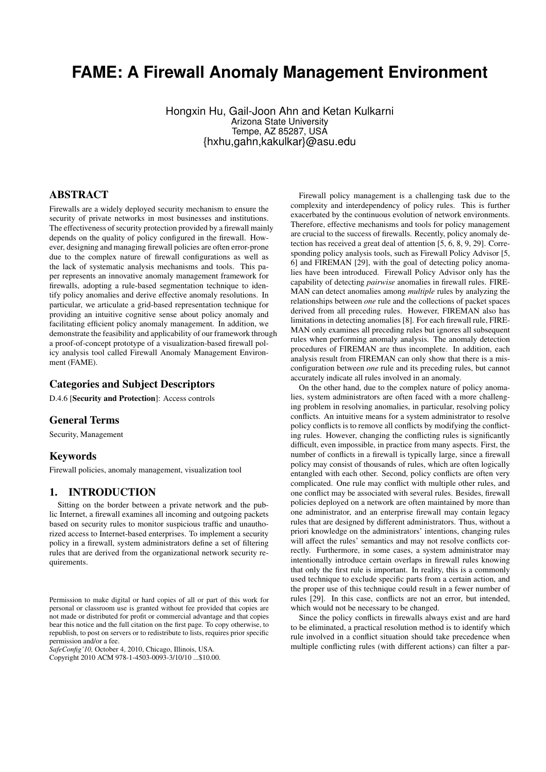# **FAME: A Firewall Anomaly Management Environment**

Hongxin Hu, Gail-Joon Ahn and Ketan Kulkarni Arizona State University Tempe, AZ 85287, USA {hxhu,gahn,kakulkar}@asu.edu

# ABSTRACT

Firewalls are a widely deployed security mechanism to ensure the security of private networks in most businesses and institutions. The effectiveness of security protection provided by a firewall mainly depends on the quality of policy configured in the firewall. However, designing and managing firewall policies are often error-prone due to the complex nature of firewall configurations as well as the lack of systematic analysis mechanisms and tools. This paper represents an innovative anomaly management framework for firewalls, adopting a rule-based segmentation technique to identify policy anomalies and derive effective anomaly resolutions. In particular, we articulate a grid-based representation technique for providing an intuitive cognitive sense about policy anomaly and facilitating efficient policy anomaly management. In addition, we demonstrate the feasibility and applicability of our framework through a proof-of-concept prototype of a visualization-based firewall policy analysis tool called Firewall Anomaly Management Environment (FAME).

## Categories and Subject Descriptors

D.4.6 [Security and Protection]: Access controls

## General Terms

Security, Management

#### Keywords

Firewall policies, anomaly management, visualization tool

#### 1. INTRODUCTION

Sitting on the border between a private network and the public Internet, a firewall examines all incoming and outgoing packets based on security rules to monitor suspicious traffic and unauthorized access to Internet-based enterprises. To implement a security policy in a firewall, system administrators define a set of filtering rules that are derived from the organizational network security requirements.

*SafeConfig'10,* October 4, 2010, Chicago, Illinois, USA.

Copyright 2010 ACM 978-1-4503-0093-3/10/10 ...\$10.00.

Firewall policy management is a challenging task due to the complexity and interdependency of policy rules. This is further exacerbated by the continuous evolution of network environments. Therefore, effective mechanisms and tools for policy management are crucial to the success of firewalls. Recently, policy anomaly detection has received a great deal of attention [5, 6, 8, 9, 29]. Corresponding policy analysis tools, such as Firewall Policy Advisor [5, 6] and FIREMAN [29], with the goal of detecting policy anomalies have been introduced. Firewall Policy Advisor only has the capability of detecting *pairwise* anomalies in firewall rules. FIRE-MAN can detect anomalies among *multiple* rules by analyzing the relationships between *one* rule and the collections of packet spaces derived from all preceding rules. However, FIREMAN also has limitations in detecting anomalies [8]. For each firewall rule, FIRE-MAN only examines all preceding rules but ignores all subsequent rules when performing anomaly analysis. The anomaly detection procedures of FIREMAN are thus incomplete. In addition, each analysis result from FIREMAN can only show that there is a misconfiguration between *one* rule and its preceding rules, but cannot accurately indicate all rules involved in an anomaly.

On the other hand, due to the complex nature of policy anomalies, system administrators are often faced with a more challenging problem in resolving anomalies, in particular, resolving policy conflicts. An intuitive means for a system administrator to resolve policy conflicts is to remove all conflicts by modifying the conflicting rules. However, changing the conflicting rules is significantly difficult, even impossible, in practice from many aspects. First, the number of conflicts in a firewall is typically large, since a firewall policy may consist of thousands of rules, which are often logically entangled with each other. Second, policy conflicts are often very complicated. One rule may conflict with multiple other rules, and one conflict may be associated with several rules. Besides, firewall policies deployed on a network are often maintained by more than one administrator, and an enterprise firewall may contain legacy rules that are designed by different administrators. Thus, without a priori knowledge on the administrators' intentions, changing rules will affect the rules' semantics and may not resolve conflicts correctly. Furthermore, in some cases, a system administrator may intentionally introduce certain overlaps in firewall rules knowing that only the first rule is important. In reality, this is a commonly used technique to exclude specific parts from a certain action, and the proper use of this technique could result in a fewer number of rules [29]. In this case, conflicts are not an error, but intended, which would not be necessary to be changed.

Since the policy conflicts in firewalls always exist and are hard to be eliminated, a practical resolution method is to identify which rule involved in a conflict situation should take precedence when multiple conflicting rules (with different actions) can filter a par-

Permission to make digital or hard copies of all or part of this work for personal or classroom use is granted without fee provided that copies are not made or distributed for profit or commercial advantage and that copies bear this notice and the full citation on the first page. To copy otherwise, to republish, to post on servers or to redistribute to lists, requires prior specific permission and/or a fee.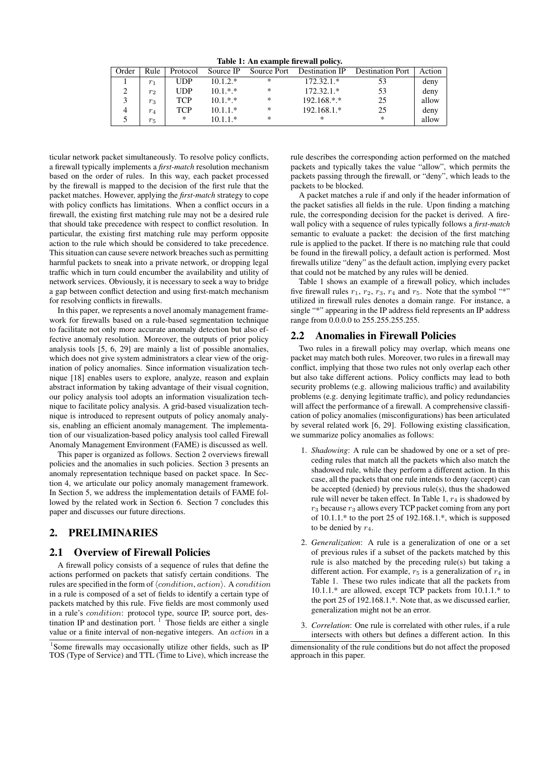| Table 1. All example in ewall policy. |                |            |            |             |                |                         |        |  |
|---------------------------------------|----------------|------------|------------|-------------|----------------|-------------------------|--------|--|
| Order                                 | Rule           | Protocol   | Source IP  | Source Port | Destination IP | <b>Destination Port</b> | Action |  |
|                                       | $r_1$          | <b>UDP</b> | $10.1.2.*$ | ∗           | $172.32.1.*$   | 53                      | deny   |  |
|                                       | r <sub>2</sub> | <b>UDP</b> | $10.1.*.*$ | *           | $172.32.1.*$   | 53                      | deny   |  |
|                                       | $r_3$          | TCP        | $10.1.*.*$ | *           | 192.168.*.*    | 25                      | allow  |  |
|                                       | $r_4$          | <b>TCP</b> | $10.1.1.*$ | *           | 192.168.1.*    | 25                      | deny   |  |
|                                       | $r_{5}$        | *          | $10.1.1*$  | *           | ∗              | *                       | allow  |  |

Table 1: An example firewall policy.

ticular network packet simultaneously. To resolve policy conflicts, a firewall typically implements a *first-match* resolution mechanism based on the order of rules. In this way, each packet processed by the firewall is mapped to the decision of the first rule that the packet matches. However, applying the *first-match* strategy to cope with policy conflicts has limitations. When a conflict occurs in a firewall, the existing first matching rule may not be a desired rule that should take precedence with respect to conflict resolution. In particular, the existing first matching rule may perform opposite action to the rule which should be considered to take precedence. This situation can cause severe network breaches such as permitting harmful packets to sneak into a private network, or dropping legal traffic which in turn could encumber the availability and utility of network services. Obviously, it is necessary to seek a way to bridge a gap between conflict detection and using first-match mechanism for resolving conflicts in firewalls.

In this paper, we represents a novel anomaly management framework for firewalls based on a rule-based segmentation technique to facilitate not only more accurate anomaly detection but also effective anomaly resolution. Moreover, the outputs of prior policy analysis tools [5, 6, 29] are mainly a list of possible anomalies, which does not give system administrators a clear view of the origination of policy anomalies. Since information visualization technique [18] enables users to explore, analyze, reason and explain abstract information by taking advantage of their visual cognition, our policy analysis tool adopts an information visualization technique to facilitate policy analysis. A grid-based visualization technique is introduced to represent outputs of policy anomaly analysis, enabling an efficient anomaly management. The implementation of our visualization-based policy analysis tool called Firewall Anomaly Management Environment (FAME) is discussed as well.

This paper is organized as follows. Section 2 overviews firewall policies and the anomalies in such policies. Section 3 presents an anomaly representation technique based on packet space. In Section 4, we articulate our policy anomaly management framework. In Section 5, we address the implementation details of FAME followed by the related work in Section 6. Section 7 concludes this paper and discusses our future directions.

# 2. PRELIMINARIES

#### 2.1 Overview of Firewall Policies

A firewall policy consists of a sequence of rules that define the actions performed on packets that satisfy certain conditions. The rules are specified in the form of  $\langle condition, action \rangle$ . A *condition* in a rule is composed of a set of fields to identify a certain type of packets matched by this rule. Five fields are most commonly used in a rule's *condition*: protocol type, source IP, source port, destination IP and destination port.  $1$  Those fields are either a single value or a finite interval of non-negative integers. An action in a

rule describes the corresponding action performed on the matched packets and typically takes the value "allow", which permits the packets passing through the firewall, or "deny", which leads to the packets to be blocked.

A packet matches a rule if and only if the header information of the packet satisfies all fields in the rule. Upon finding a matching rule, the corresponding decision for the packet is derived. A firewall policy with a sequence of rules typically follows a *first-match* semantic to evaluate a packet: the decision of the first matching rule is applied to the packet. If there is no matching rule that could be found in the firewall policy, a default action is performed. Most firewalls utilize "deny" as the default action, implying every packet that could not be matched by any rules will be denied.

Table 1 shows an example of a firewall policy, which includes five firewall rules  $r_1$ ,  $r_2$ ,  $r_3$ ,  $r_4$  and  $r_5$ . Note that the symbol "\*" utilized in firewall rules denotes a domain range. For instance, a single "\*" appearing in the IP address field represents an IP address range from 0.0.0.0 to 255.255.255.255.

#### 2.2 Anomalies in Firewall Policies

Two rules in a firewall policy may overlap, which means one packet may match both rules. Moreover, two rules in a firewall may conflict, implying that those two rules not only overlap each other but also take different actions. Policy conflicts may lead to both security problems (e.g. allowing malicious traffic) and availability problems (e.g. denying legitimate traffic), and policy redundancies will affect the performance of a firewall. A comprehensive classification of policy anomalies (misconfigurations) has been articulated by several related work [6, 29]. Following existing classification, we summarize policy anomalies as follows:

- 1. *Shadowing*: A rule can be shadowed by one or a set of preceding rules that match all the packets which also match the shadowed rule, while they perform a different action. In this case, all the packets that one rule intends to deny (accept) can be accepted (denied) by previous rule(s), thus the shadowed rule will never be taken effect. In Table 1,  $r_4$  is shadowed by  $r_3$  because  $r_3$  allows every TCP packet coming from any port of  $10.1.1$ .\* to the port 25 of  $192.168.1$ .\*, which is supposed to be denied by  $r_4$ .
- 2. *Generalization*: A rule is a generalization of one or a set of previous rules if a subset of the packets matched by this rule is also matched by the preceding rule(s) but taking a different action. For example,  $r_5$  is a generalization of  $r_4$  in Table 1. These two rules indicate that all the packets from 10.1.1.\* are allowed, except TCP packets from 10.1.1.\* to the port 25 of 192.168.1.\*. Note that, as we discussed earlier, generalization might not be an error.
- 3. *Correlation*: One rule is correlated with other rules, if a rule intersects with others but defines a different action. In this

<sup>&</sup>lt;sup>1</sup>Some firewalls may occasionally utilize other fields, such as IP TOS (Type of Service) and TTL (Time to Live), which increase the

dimensionality of the rule conditions but do not affect the proposed approach in this paper.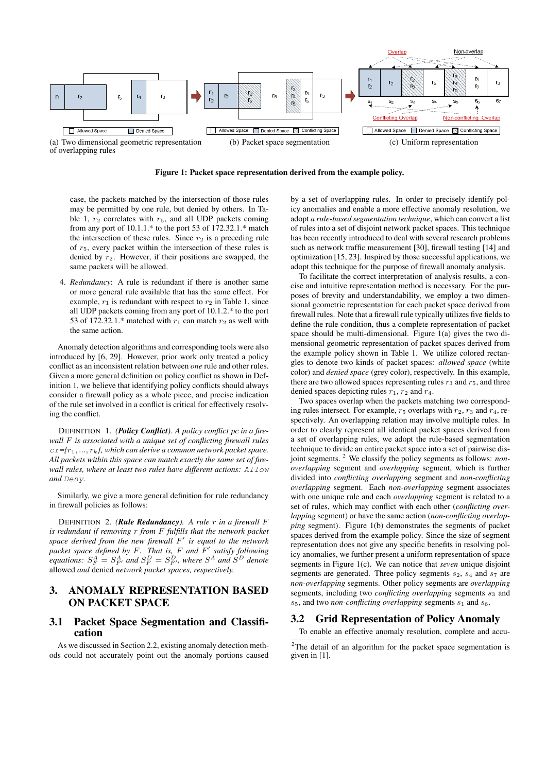

Figure 1: Packet space representation derived from the example policy.

case, the packets matched by the intersection of those rules may be permitted by one rule, but denied by others. In Table 1,  $r_2$  correlates with  $r_5$ , and all UDP packets coming from any port of  $10.1.1$ <sup>\*</sup> to the port 53 of  $172.32.1$ <sup>\*</sup> match the intersection of these rules. Since  $r_2$  is a preceding rule of  $r<sub>5</sub>$ , every packet within the intersection of these rules is denied by  $r_2$ . However, if their positions are swapped, the same packets will be allowed.

4. *Redundancy*: A rule is redundant if there is another same or more general rule available that has the same effect. For example,  $r_1$  is redundant with respect to  $r_2$  in Table 1, since all UDP packets coming from any port of 10.1.2.\* to the port 53 of 172.32.1.\* matched with  $r_1$  can match  $r_2$  as well with the same action.

Anomaly detection algorithms and corresponding tools were also introduced by [6, 29]. However, prior work only treated a policy conflict as an inconsistent relation between *one* rule and other rules. Given a more general definition on policy conflict as shown in Definition 1, we believe that identifying policy conflicts should always consider a firewall policy as a whole piece, and precise indication of the rule set involved in a conflict is critical for effectively resolving the conflict.

DEFINITION 1. *(Policy Conflict). A policy conflict* pc *in a firewall* F *is associated with a unique set of conflicting firewall rules*  $c = \{r_1, ..., r_k\}$ , which can derive a common network packet space. *All packets within this space can match exactly the same set of firewall rules, where at least two rules have different actions:* Allow *and* Deny*.*

Similarly, we give a more general definition for rule redundancy in firewall policies as follows:

DEFINITION 2. *(Rule Redundancy). A rule* r *in a firewall* F *is redundant if removing* r *from* F *fulfills that the network packet space derived from the new firewall* F 0 *is equal to the network packet space defined by* F*. That is,* F *and* F 0 *satisfy following equations:*  $S_F^A = S_{F'}^A$  *and*  $S_F^D = S_{F'}^D$ *, where*  $S^A$  *and*  $S^D$  *denote* allowed *and* denied *network packet spaces, respectively.*

# 3. ANOMALY REPRESENTATION BASED ON PACKET SPACE

## 3.1 Packet Space Segmentation and Classification

As we discussed in Section 2.2, existing anomaly detection methods could not accurately point out the anomaly portions caused

by a set of overlapping rules. In order to precisely identify policy anomalies and enable a more effective anomaly resolution, we adopt *a rule-based segmentation technique*, which can convert a list of rules into a set of disjoint network packet spaces. This technique has been recently introduced to deal with several research problems such as network traffic measurement [30], firewall testing [14] and optimization [15, 23]. Inspired by those successful applications, we adopt this technique for the purpose of firewall anomaly analysis.

To facilitate the correct interpretation of analysis results, a concise and intuitive representation method is necessary. For the purposes of brevity and understandability, we employ a two dimensional geometric representation for each packet space derived from firewall rules. Note that a firewall rule typically utilizes five fields to define the rule condition, thus a complete representation of packet space should be multi-dimensional. Figure 1(a) gives the two dimensional geometric representation of packet spaces derived from the example policy shown in Table 1. We utilize colored rectangles to denote two kinds of packet spaces: *allowed space* (white color) and *denied space* (grey color), respectively. In this example, there are two allowed spaces representing rules  $r_3$  and  $r_5$ , and three denied spaces depicting rules  $r_1$ ,  $r_2$  and  $r_4$ .

Two spaces overlap when the packets matching two corresponding rules intersect. For example,  $r_5$  overlaps with  $r_2$ ,  $r_3$  and  $r_4$ , respectively. An overlapping relation may involve multiple rules. In order to clearly represent all identical packet spaces derived from a set of overlapping rules, we adopt the rule-based segmentation technique to divide an entire packet space into a set of pairwise disjoint segments. <sup>2</sup> We classify the policy segments as follows: *nonoverlapping* segment and *overlapping* segment, which is further divided into *conflicting overlapping* segment and *non-conflicting overlapping* segment. Each *non-overlapping* segment associates with one unique rule and each *overlapping* segment is related to a set of rules, which may conflict with each other (*conflicting overlapping* segment) or have the same action (*non-conflicting overlapping* segment). Figure 1(b) demonstrates the segments of packet spaces derived from the example policy. Since the size of segment representation does not give any specific benefits in resolving policy anomalies, we further present a uniform representation of space segments in Figure 1(c). We can notice that *seven* unique disjoint segments are generated. Three policy segments  $s_2$ ,  $s_4$  and  $s_7$  are *non-overlapping* segments. Other policy segments are *overlapping* segments, including two *conflicting overlapping* segments  $s_3$  and  $s_5$ , and two *non-conflicting overlapping* segments  $s_1$  and  $s_6$ .

#### 3.2 Grid Representation of Policy Anomaly

To enable an effective anomaly resolution, complete and accu-

<sup>&</sup>lt;sup>2</sup>The detail of an algorithm for the packet space segmentation is given in [1].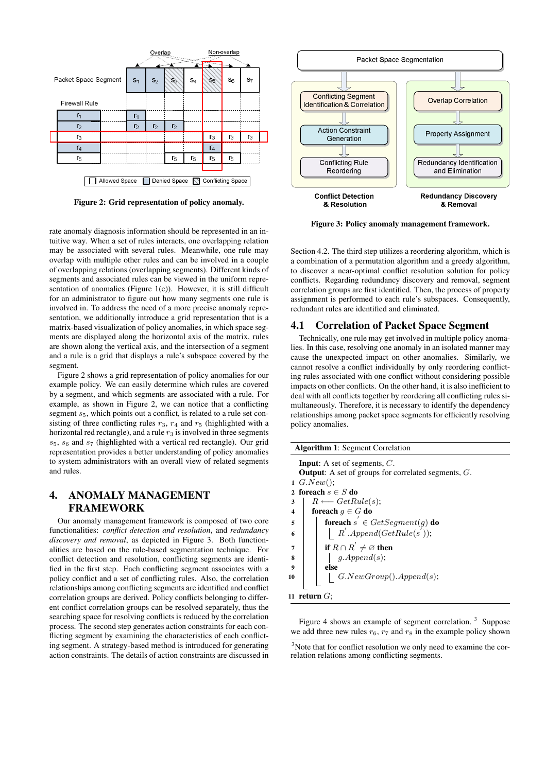

Figure 2: Grid representation of policy anomaly.

rate anomaly diagnosis information should be represented in an intuitive way. When a set of rules interacts, one overlapping relation may be associated with several rules. Meanwhile, one rule may overlap with multiple other rules and can be involved in a couple of overlapping relations (overlapping segments). Different kinds of segments and associated rules can be viewed in the uniform representation of anomalies (Figure  $1(c)$ ). However, it is still difficult for an administrator to figure out how many segments one rule is involved in. To address the need of a more precise anomaly representation, we additionally introduce a grid representation that is a matrix-based visualization of policy anomalies, in which space segments are displayed along the horizontal axis of the matrix, rules are shown along the vertical axis, and the intersection of a segment and a rule is a grid that displays a rule's subspace covered by the segment.

Figure 2 shows a grid representation of policy anomalies for our example policy. We can easily determine which rules are covered by a segment, and which segments are associated with a rule. For example, as shown in Figure 2, we can notice that a conflicting segment  $s<sub>5</sub>$ , which points out a conflict, is related to a rule set consisting of three conflicting rules  $r_3$ ,  $r_4$  and  $r_5$  (highlighted with a horizontal red rectangle), and a rule  $r_3$  is involved in three segments  $s_5$ ,  $s_6$  and  $s_7$  (highlighted with a vertical red rectangle). Our grid representation provides a better understanding of policy anomalies to system administrators with an overall view of related segments and rules.

# 4. ANOMALY MANAGEMENT FRAMEWORK

Our anomaly management framework is composed of two core functionalities: *conflict detection and resolution*, and *redundancy discovery and removal*, as depicted in Figure 3. Both functionalities are based on the rule-based segmentation technique. For conflict detection and resolution, conflicting segments are identified in the first step. Each conflicting segment associates with a policy conflict and a set of conflicting rules. Also, the correlation relationships among conflicting segments are identified and conflict correlation groups are derived. Policy conflicts belonging to different conflict correlation groups can be resolved separately, thus the searching space for resolving conflicts is reduced by the correlation process. The second step generates action constraints for each conflicting segment by examining the characteristics of each conflicting segment. A strategy-based method is introduced for generating action constraints. The details of action constraints are discussed in



Figure 3: Policy anomaly management framework.

Section 4.2. The third step utilizes a reordering algorithm, which is a combination of a permutation algorithm and a greedy algorithm, to discover a near-optimal conflict resolution solution for policy conflicts. Regarding redundancy discovery and removal, segment correlation groups are first identified. Then, the process of property assignment is performed to each rule's subspaces. Consequently, redundant rules are identified and eliminated.

## 4.1 Correlation of Packet Space Segment

Technically, one rule may get involved in multiple policy anomalies. In this case, resolving one anomaly in an isolated manner may cause the unexpected impact on other anomalies. Similarly, we cannot resolve a conflict individually by only reordering conflicting rules associated with one conflict without considering possible impacts on other conflicts. On the other hand, it is also inefficient to deal with all conflicts together by reordering all conflicting rules simultaneously. Therefore, it is necessary to identify the dependency relationships among packet space segments for efficiently resolving policy anomalies.

| <b>Algorithm 1: Segment Correlation</b>                                         |                                       |  |  |  |  |
|---------------------------------------------------------------------------------|---------------------------------------|--|--|--|--|
| <b>Input:</b> A set of segments, $C$ .                                          |                                       |  |  |  |  |
| <b>Output:</b> A set of groups for correlated segments, $G$ .<br>$1 \ G.New();$ |                                       |  |  |  |  |
| 2 foreach $s \in S$ do                                                          |                                       |  |  |  |  |
| 3                                                                               | $R \longleftarrow GetRule(s);$        |  |  |  |  |
| 4                                                                               | foreach $g \in G$ do                  |  |  |  |  |
| 5                                                                               | foreach $s' \in GetSegment(g)$ do     |  |  |  |  |
| 6                                                                               | $R^{'}$ .Append( $GetRule(s^{'}))$ ;  |  |  |  |  |
| 7                                                                               | if $R \cap R^{'} \neq \emptyset$ then |  |  |  |  |
| 8                                                                               | g. Append(s);                         |  |  |  |  |
| 9                                                                               | else                                  |  |  |  |  |
| 10                                                                              | G. NewGroup().Append(s);              |  |  |  |  |
| return $G$ :<br>11                                                              |                                       |  |  |  |  |

Figure 4 shows an example of segment correlation.  $3$  Suppose we add three new rules  $r_6$ ,  $r_7$  and  $r_8$  in the example policy shown

<sup>&</sup>lt;sup>3</sup>Note that for conflict resolution we only need to examine the correlation relations among conflicting segments.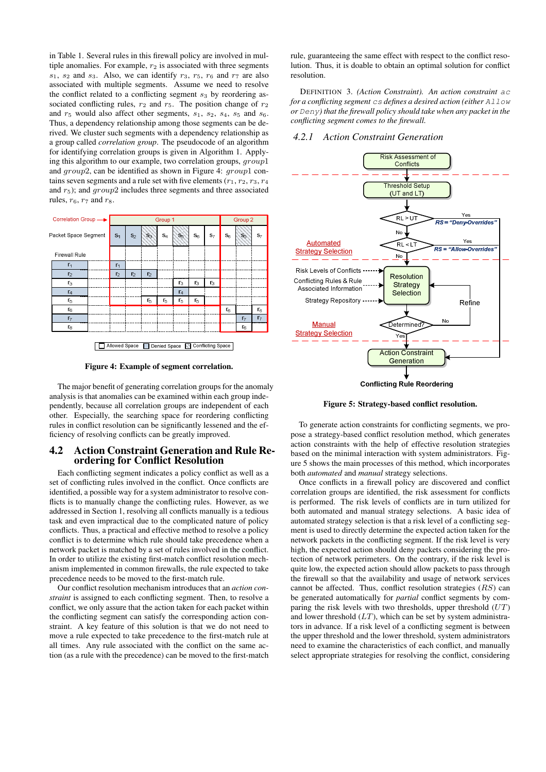in Table 1. Several rules in this firewall policy are involved in multiple anomalies. For example,  $r_2$  is associated with three segments  $s_1$ ,  $s_2$  and  $s_3$ . Also, we can identify  $r_3$ ,  $r_5$ ,  $r_6$  and  $r_7$  are also associated with multiple segments. Assume we need to resolve the conflict related to a conflicting segment  $s_3$  by reordering associated conflicting rules,  $r_2$  and  $r_5$ . The position change of  $r_2$ and  $r_5$  would also affect other segments,  $s_1$ ,  $s_2$ ,  $s_4$ ,  $s_5$  and  $s_6$ . Thus, a dependency relationship among those segments can be derived. We cluster such segments with a dependency relationship as a group called *correlation group*. The pseudocode of an algorithm for identifying correlation groups is given in Algorithm 1. Applying this algorithm to our example, two correlation groups, group1 and group2, can be identified as shown in Figure 4: group1 contains seven segments and a rule set with five elements  $(r_1, r_2, r_3, r_4)$ and  $r_5$ ); and  $qroup2$  includes three segments and three associated rules,  $r_6$ ,  $r_7$  and  $r_8$ .



Figure 4: Example of segment correlation.

The major benefit of generating correlation groups for the anomaly analysis is that anomalies can be examined within each group independently, because all correlation groups are independent of each other. Especially, the searching space for reordering conflicting rules in conflict resolution can be significantly lessened and the efficiency of resolving conflicts can be greatly improved.

#### 4.2 Action Constraint Generation and Rule Reordering for Conflict Resolution

Each conflicting segment indicates a policy conflict as well as a set of conflicting rules involved in the conflict. Once conflicts are identified, a possible way for a system administrator to resolve conflicts is to manually change the conflicting rules. However, as we addressed in Section 1, resolving all conflicts manually is a tedious task and even impractical due to the complicated nature of policy conflicts. Thus, a practical and effective method to resolve a policy conflict is to determine which rule should take precedence when a network packet is matched by a set of rules involved in the conflict. In order to utilize the existing first-match conflict resolution mechanism implemented in common firewalls, the rule expected to take precedence needs to be moved to the first-match rule.

Our conflict resolution mechanism introduces that an *action constraint* is assigned to each conflicting segment. Then, to resolve a conflict, we only assure that the action taken for each packet within the conflicting segment can satisfy the corresponding action constraint. A key feature of this solution is that we do not need to move a rule expected to take precedence to the first-match rule at all times. Any rule associated with the conflict on the same action (as a rule with the precedence) can be moved to the first-match

rule, guaranteeing the same effect with respect to the conflict resolution. Thus, it is doable to obtain an optimal solution for conflict resolution.

DEFINITION 3. *(Action Constraint). An action constraint* ac *for a conflicting segment* cs *defines a desired action (either* Allow *or* Deny*) that the firewall policy should take when any packet in the conflicting segment comes to the firewall.*

#### *4.2.1 Action Constraint Generation*



Figure 5: Strategy-based conflict resolution.

To generate action constraints for conflicting segments, we propose a strategy-based conflict resolution method, which generates action constraints with the help of effective resolution strategies based on the minimal interaction with system administrators. Figure 5 shows the main processes of this method, which incorporates both *automated* and *manual* strategy selections.

Once conflicts in a firewall policy are discovered and conflict correlation groups are identified, the risk assessment for conflicts is performed. The risk levels of conflicts are in turn utilized for both automated and manual strategy selections. A basic idea of automated strategy selection is that a risk level of a conflicting segment is used to directly determine the expected action taken for the network packets in the conflicting segment. If the risk level is very high, the expected action should deny packets considering the protection of network perimeters. On the contrary, if the risk level is quite low, the expected action should allow packets to pass through the firewall so that the availability and usage of network services cannot be affected. Thus, conflict resolution strategies  $(RS)$  can be generated automatically for *partial* conflict segments by comparing the risk levels with two thresholds, upper threshold  $(UT)$ and lower threshold  $(LT)$ , which can be set by system administrators in advance. If a risk level of a conflicting segment is between the upper threshold and the lower threshold, system administrators need to examine the characteristics of each conflict, and manually select appropriate strategies for resolving the conflict, considering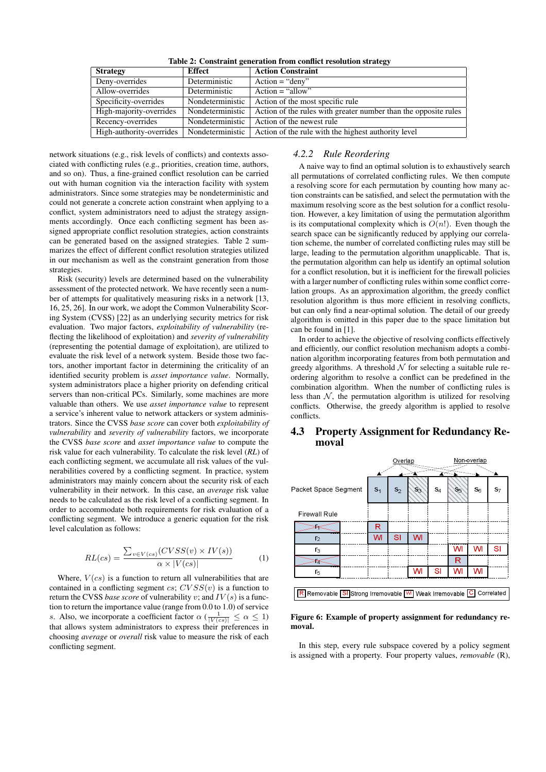| <b>Strategy</b>          | <b>Effect</b>    | <b>Action Constraint</b>                                        |
|--------------------------|------------------|-----------------------------------------------------------------|
| Deny-overrides           | Deterministic    | $Action = "deny"$                                               |
| Allow-overrides          | Deterministic    | $Action = "allow"$                                              |
| Specificity-overrides    | Nondeterministic | Action of the most specific rule                                |
| High-majority-overrides  | Nondeterministic | Action of the rules with greater number than the opposite rules |
| Recency-overrides        | Nondeterministic | Action of the newest rule                                       |
| High-authority-overrides | Nondeterministic | Action of the rule with the highest authority level             |

network situations (e.g., risk levels of conflicts) and contexts associated with conflicting rules (e.g., priorities, creation time, authors, and so on). Thus, a fine-grained conflict resolution can be carried out with human cognition via the interaction facility with system administrators. Since some strategies may be nondeterministic and could not generate a concrete action constraint when applying to a conflict, system administrators need to adjust the strategy assignments accordingly. Once each conflicting segment has been assigned appropriate conflict resolution strategies, action constraints can be generated based on the assigned strategies. Table 2 summarizes the effect of different conflict resolution strategies utilized in our mechanism as well as the constraint generation from those strategies.

Risk (security) levels are determined based on the vulnerability assessment of the protected network. We have recently seen a number of attempts for qualitatively measuring risks in a network [13, 16, 25, 26]. In our work, we adopt the Common Vulnerability Scoring System (CVSS) [22] as an underlying security metrics for risk evaluation. Two major factors, *exploitability of vulnerability* (reflecting the likelihood of exploitation) and *severity of vulnerability* (representing the potential damage of exploitation), are utilized to evaluate the risk level of a network system. Beside those two factors, another important factor in determining the criticality of an identified security problem is *asset importance value*. Normally, system administrators place a higher priority on defending critical servers than non-critical PCs. Similarly, some machines are more valuable than others. We use *asset importance value* to represent a service's inherent value to network attackers or system administrators. Since the CVSS *base score* can cover both *exploitability of vulnerability* and *severity of vulnerability* factors, we incorporate the CVSS *base score* and *asset importance value* to compute the risk value for each vulnerability. To calculate the risk level (*RL*) of each conflicting segment, we accumulate all risk values of the vulnerabilities covered by a conflicting segment. In practice, system administrators may mainly concern about the security risk of each vulnerability in their network. In this case, an *average* risk value needs to be calculated as the risk level of a conflicting segment. In order to accommodate both requirements for risk evaluation of a conflicting segment. We introduce a generic equation for the risk level calculation as follows:

$$
RL(cs) = \frac{\sum_{v \in V(cs)} (CVSS(v) \times IV(s))}{\alpha \times |V(cs)|} \tag{1}
$$

Where,  $V(cs)$  is a function to return all vulnerabilities that are contained in a conflicting segment  $cs$ ;  $CVSS(v)$  is a function to return the CVSS *base score* of vulnerability v; and  $IV(s)$  is a function to return the importance value (range from 0.0 to 1.0) of service s. Also, we incorporate a coefficient factor  $\alpha \left( \frac{1}{|V(c s)|} \leq \alpha \leq 1 \right)$ that allows system administrators to express their preferences in choosing *average* or *overall* risk value to measure the risk of each conflicting segment.

## *4.2.2 Rule Reordering*

A naive way to find an optimal solution is to exhaustively search all permutations of correlated conflicting rules. We then compute a resolving score for each permutation by counting how many action constraints can be satisfied, and select the permutation with the maximum resolving score as the best solution for a conflict resolution. However, a key limitation of using the permutation algorithm is its computational complexity which is  $O(n!)$ . Even though the search space can be significantly reduced by applying our correlation scheme, the number of correlated conflicting rules may still be large, leading to the permutation algorithm unapplicable. That is, the permutation algorithm can help us identify an optimal solution for a conflict resolution, but it is inefficient for the firewall policies with a larger number of conflicting rules within some conflict correlation groups. As an approximation algorithm, the greedy conflict resolution algorithm is thus more efficient in resolving conflicts, but can only find a near-optimal solution. The detail of our greedy algorithm is omitted in this paper due to the space limitation but can be found in [1].

In order to achieve the objective of resolving conflicts effectively and efficiently, our conflict resolution mechanism adopts a combination algorithm incorporating features from both permutation and greedy algorithms. A threshold  $N$  for selecting a suitable rule reordering algorithm to resolve a conflict can be predefined in the combination algorithm. When the number of conflicting rules is less than  $N$ , the permutation algorithm is utilized for resolving conflicts. Otherwise, the greedy algorithm is applied to resolve conflicts.

#### 4.3 Property Assignment for Redundancy Removal

|                                                                      | Overlap        |       |       |       | Non-overlap |       |       |  |
|----------------------------------------------------------------------|----------------|-------|-------|-------|-------------|-------|-------|--|
|                                                                      |                |       |       |       |             |       |       |  |
| Packet Space Segment                                                 | S <sub>1</sub> | $S_2$ | $S_3$ | $S_4$ | S5)         | $S_6$ | $S_7$ |  |
| <b>Firewall Rule</b>                                                 |                |       |       |       |             |       |       |  |
|                                                                      | R              |       |       |       |             |       |       |  |
| r <sub>2</sub>                                                       | WI             | SI    | WI    |       |             |       |       |  |
| r3                                                                   |                |       |       |       | WI          | WI    | SI    |  |
| ₩                                                                    |                |       |       |       | R           |       |       |  |
| r5                                                                   |                |       | WI    | SI    | WI          | w     |       |  |
|                                                                      |                |       |       |       |             |       |       |  |
| Correlated<br>R Removable SI Strong Irremovable M Weak Irremovable C |                |       |       |       |             |       |       |  |

Figure 6: Example of property assignment for redundancy removal.

In this step, every rule subspace covered by a policy segment is assigned with a property. Four property values, *removable* (R),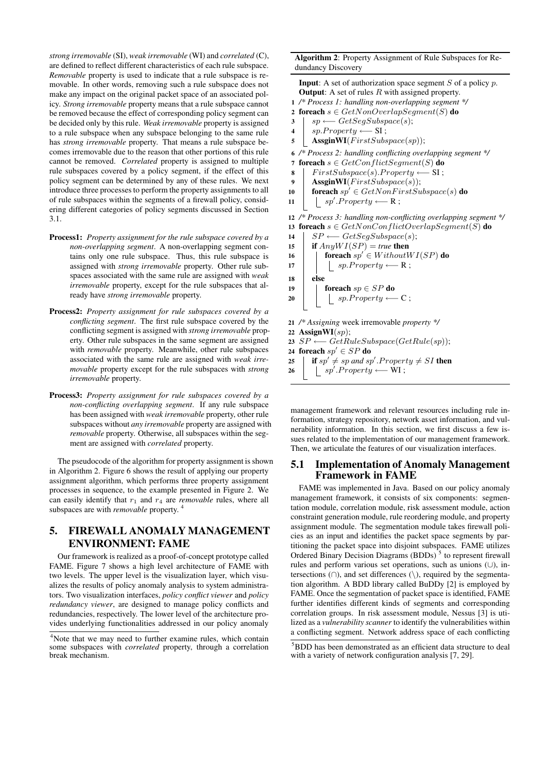*strong irremovable* (SI), *weak irremovable* (WI) and *correlated* (C), are defined to reflect different characteristics of each rule subspace. *Removable* property is used to indicate that a rule subspace is removable. In other words, removing such a rule subspace does not make any impact on the original packet space of an associated policy. *Strong irremovable* property means that a rule subspace cannot be removed because the effect of corresponding policy segment can be decided only by this rule. *Weak irremovable* property is assigned to a rule subspace when any subspace belonging to the same rule has *strong irremovable* property. That means a rule subspace becomes irremovable due to the reason that other portions of this rule cannot be removed. *Correlated* property is assigned to multiple rule subspaces covered by a policy segment, if the effect of this policy segment can be determined by any of these rules. We next introduce three processes to perform the property assignments to all of rule subspaces within the segments of a firewall policy, considering different categories of policy segments discussed in Section 3.1.

- Process1: *Property assignment for the rule subspace covered by a non-overlapping segment*. A non-overlapping segment contains only one rule subspace. Thus, this rule subspace is assigned with *strong irremovable* property. Other rule subspaces associated with the same rule are assigned with *weak irremovable* property, except for the rule subspaces that already have *strong irremovable* property.
- Process2: *Property assignment for rule subspaces covered by a conflicting segment*. The first rule subspace covered by the conflicting segment is assigned with *strong irremovable* property. Other rule subspaces in the same segment are assigned with *removable* property. Meanwhile, other rule subspaces associated with the same rule are assigned with *weak irremovable* property except for the rule subspaces with *strong irremovable* property.
- Process3: *Property assignment for rule subspaces covered by a non-conflicting overlapping segment*. If any rule subspace has been assigned with *weak irremovable* property, other rule subspaces without *any irremovable* property are assigned with *removable* property. Otherwise, all subspaces within the segment are assigned with *correlated* property.

The pseudocode of the algorithm for property assignment is shown in Algorithm 2. Figure 6 shows the result of applying our property assignment algorithm, which performs three property assignment processes in sequence, to the example presented in Figure 2. We can easily identify that  $r_1$  and  $r_4$  are *removable* rules, where all subspaces are with *removable* property.

# 5. FIREWALL ANOMALY MANAGEMENT ENVIRONMENT: FAME

Our framework is realized as a proof-of-concept prototype called FAME. Figure 7 shows a high level architecture of FAME with two levels. The upper level is the visualization layer, which visualizes the results of policy anomaly analysis to system administrators. Two visualization interfaces, *policy conflict viewer* and *policy redundancy viewer*, are designed to manage policy conflicts and redundancies, respectively. The lower level of the architecture provides underlying functionalities addressed in our policy anomaly

Algorithm 2: Property Assignment of Rule Subspaces for Redundancy Discovery

**Input:** A set of authorization space segment  $S$  of a policy  $p$ . **Output:** A set of rules  $R$  with assigned property.

- 1 */\* Process 1: handling non-overlapping segment \*/* 2 foreach  $s \in GetNonOverlapSegment(S)$  do
- $\textbf{3}$  sp ← GetSeqSubspace(s);
- $4 \mid sp.Property \longleftarrow SI;$
- 5 | AssginWI( $FirstSubspace(sp)$ );

6 */\* Process 2: handling conflicting overlapping segment \*/*

7 foreach  $s \in GetConflictSegment(S)$  do

- 8 FirstSubspace(s).Property  $\leftarrow$  SI;
- 9 | AssginWI $(FirstSubspace(s))$ ;
- 10 **foreach**  $sp' \in GetNonFirstSubspace(s)$  do

```
11 \vert sp'.Property ←− R;
```
12 */\* Process 3: handling non-conflicting overlapping segment \*/* 13 foreach  $s \in GetNonConflictOverlapSegment(S)$  do

- 14  $\vert$  SP ← GetSegSubspace(s);
- 15 **if**  $Any WI(SP) = true$  then
- 16 **Foreach**  $sp' \in Without WI(SP)$  do

 $17$  | | sp.Property ←− R;  $18$  else 19 **for each**  $sp \in SP$  do

20 | sp.Property ←− C;

21 */\* Assigning* week irremovable *property \*/*

22 AssignWI $(sp);$ 

- 23  $SP \longleftarrow GetRuleSubspace(GetRule(sp));$
- 24 foreach  $sp' \in SP$  do
- 25 **if**  $sp' \neq sp$  and  $sp'.Property \neq SI$  then 26  $\parallel$  sp'.Property ← WI;
- 

management framework and relevant resources including rule information, strategy repository, network asset information, and vulnerability information. In this section, we first discuss a few issues related to the implementation of our management framework. Then, we articulate the features of our visualization interfaces.

#### 5.1 Implementation of Anomaly Management Framework in FAME

FAME was implemented in Java. Based on our policy anomaly management framework, it consists of six components: segmentation module, correlation module, risk assessment module, action constraint generation module, rule reordering module, and property assignment module. The segmentation module takes firewall policies as an input and identifies the packet space segments by partitioning the packet space into disjoint subspaces. FAME utilizes Ordered Binary Decision Diagrams (BDDs)<sup>5</sup> to represent firewall rules and perform various set operations, such as unions (∪), intersections  $(∩)$ , and set differences  $( \setminus )$ , required by the segmentation algorithm. A BDD library called BuDDy [2] is employed by FAME. Once the segmentation of packet space is identified, FAME further identifies different kinds of segments and corresponding correlation groups. In risk assessment module, Nessus [3] is utilized as a *vulnerability scanner* to identify the vulnerabilities within a conflicting segment. Network address space of each conflicting

<sup>&</sup>lt;sup>4</sup>Note that we may need to further examine rules, which contain some subspaces with *correlated* property, through a correlation break mechanism.

<sup>5</sup>BDD has been demonstrated as an efficient data structure to deal with a variety of network configuration analysis [7, 29].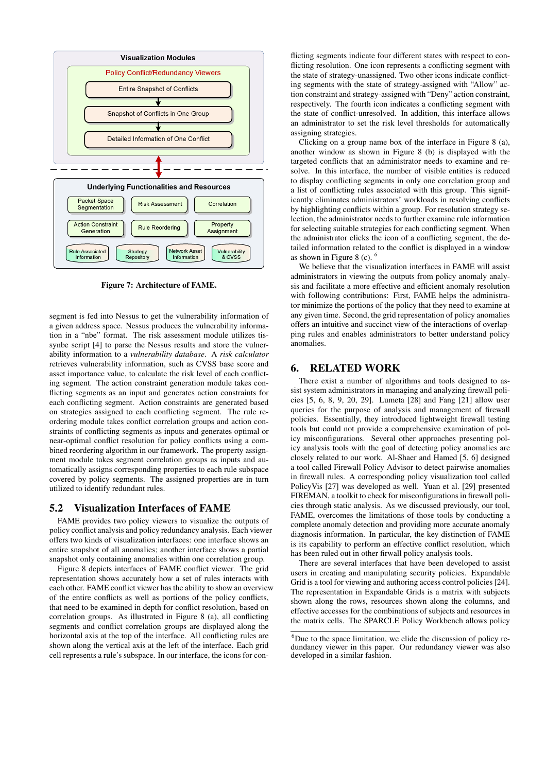

Figure 7: Architecture of FAME.

segment is fed into Nessus to get the vulnerability information of a given address space. Nessus produces the vulnerability information in a "nbe" format. The risk assessment module utilizes tissynbe script [4] to parse the Nessus results and store the vulnerability information to a *vulnerability database*. A *risk calculator* retrieves vulnerability information, such as CVSS base score and asset importance value, to calculate the risk level of each conflicting segment. The action constraint generation module takes conflicting segments as an input and generates action constraints for each conflicting segment. Action constraints are generated based on strategies assigned to each conflicting segment. The rule reordering module takes conflict correlation groups and action constraints of conflicting segments as inputs and generates optimal or near-optimal conflict resolution for policy conflicts using a combined reordering algorithm in our framework. The property assignment module takes segment correlation groups as inputs and automatically assigns corresponding properties to each rule subspace covered by policy segments. The assigned properties are in turn utilized to identify redundant rules.

#### 5.2 Visualization Interfaces of FAME

FAME provides two policy viewers to visualize the outputs of policy conflict analysis and policy redundancy analysis. Each viewer offers two kinds of visualization interfaces: one interface shows an entire snapshot of all anomalies; another interface shows a partial snapshot only containing anomalies within one correlation group.

Figure 8 depicts interfaces of FAME conflict viewer. The grid representation shows accurately how a set of rules interacts with each other. FAME conflict viewer has the ability to show an overview of the entire conflicts as well as portions of the policy conflicts, that need to be examined in depth for conflict resolution, based on correlation groups. As illustrated in Figure 8 (a), all conflicting segments and conflict correlation groups are displayed along the horizontal axis at the top of the interface. All conflicting rules are shown along the vertical axis at the left of the interface. Each grid cell represents a rule's subspace. In our interface, the icons for con-

flicting segments indicate four different states with respect to conflicting resolution. One icon represents a conflicting segment with the state of strategy-unassigned. Two other icons indicate conflicting segments with the state of strategy-assigned with "Allow" action constraint and strategy-assigned with "Deny" action constraint, respectively. The fourth icon indicates a conflicting segment with the state of conflict-unresolved. In addition, this interface allows an administrator to set the risk level thresholds for automatically assigning strategies.

Clicking on a group name box of the interface in Figure 8 (a), another window as shown in Figure 8 (b) is displayed with the targeted conflicts that an administrator needs to examine and resolve. In this interface, the number of visible entities is reduced to display conflicting segments in only one correlation group and a list of conflicting rules associated with this group. This significantly eliminates administrators' workloads in resolving conflicts by highlighting conflicts within a group. For resolution strategy selection, the administrator needs to further examine rule information for selecting suitable strategies for each conflicting segment. When the administrator clicks the icon of a conflicting segment, the detailed information related to the conflict is displayed in a window as shown in Figure 8 (c).  $<sup>6</sup>$ </sup>

We believe that the visualization interfaces in FAME will assist administrators in viewing the outputs from policy anomaly analysis and facilitate a more effective and efficient anomaly resolution with following contributions: First, FAME helps the administrator minimize the portions of the policy that they need to examine at any given time. Second, the grid representation of policy anomalies offers an intuitive and succinct view of the interactions of overlapping rules and enables administrators to better understand policy anomalies.

## 6. RELATED WORK

There exist a number of algorithms and tools designed to assist system administrators in managing and analyzing firewall policies [5, 6, 8, 9, 20, 29]. Lumeta [28] and Fang [21] allow user queries for the purpose of analysis and management of firewall policies. Essentially, they introduced lightweight firewall testing tools but could not provide a comprehensive examination of policy misconfigurations. Several other approaches presenting policy analysis tools with the goal of detecting policy anomalies are closely related to our work. Al-Shaer and Hamed [5, 6] designed a tool called Firewall Policy Advisor to detect pairwise anomalies in firewall rules. A corresponding policy visualization tool called PolicyVis [27] was developed as well. Yuan et al. [29] presented FIREMAN, a toolkit to check for misconfigurations in firewall policies through static analysis. As we discussed previously, our tool, FAME, overcomes the limitations of those tools by conducting a complete anomaly detection and providing more accurate anomaly diagnosis information. In particular, the key distinction of FAME is its capability to perform an effective conflict resolution, which has been ruled out in other firwall policy analysis tools.

There are several interfaces that have been developed to assist users in creating and manipulating security policies. Expandable Grid is a tool for viewing and authoring access control policies [24]. The representation in Expandable Grids is a matrix with subjects shown along the rows, resources shown along the columns, and effective accesses for the combinations of subjects and resources in the matrix cells. The SPARCLE Policy Workbench allows policy

 $6$ Due to the space limitation, we elide the discussion of policy redundancy viewer in this paper. Our redundancy viewer was also developed in a similar fashion.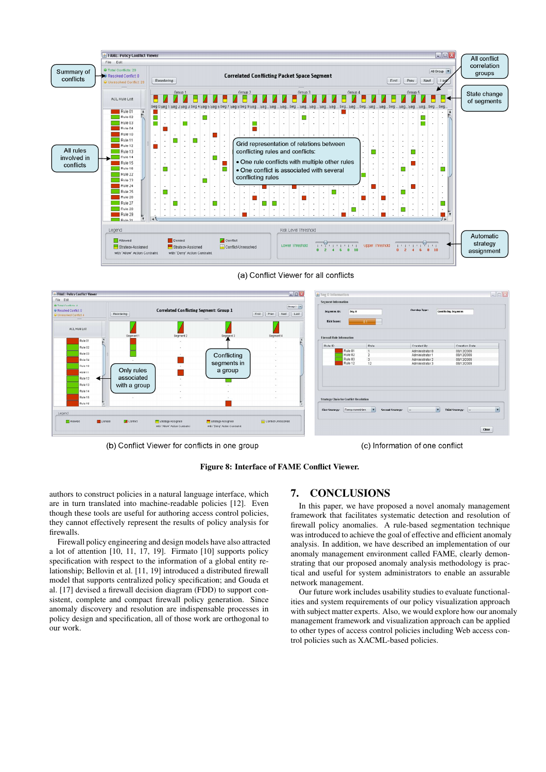

(a) Conflict Viewer for all conflicts



(b) Conflict Viewer for conflicts in one group

(c) Information of one conflict

Figure 8: Interface of FAME Conflict Viewer.

authors to construct policies in a natural language interface, which are in turn translated into machine-readable policies [12]. Even though these tools are useful for authoring access control policies, they cannot effectively represent the results of policy analysis for firewalls.

Firewall policy engineering and design models have also attracted a lot of attention [10, 11, 17, 19]. Firmato [10] supports policy specification with respect to the information of a global entity relationship; Bellovin et al. [11, 19] introduced a distributed firewall model that supports centralized policy specification; and Gouda et al. [17] devised a firewall decision diagram (FDD) to support consistent, complete and compact firewall policy generation. Since anomaly discovery and resolution are indispensable processes in policy design and specification, all of those work are orthogonal to our work.

# 7. CONCLUSIONS

In this paper, we have proposed a novel anomaly management framework that facilitates systematic detection and resolution of firewall policy anomalies. A rule-based segmentation technique was introduced to achieve the goal of effective and efficient anomaly analysis. In addition, we have described an implementation of our anomaly management environment called FAME, clearly demonstrating that our proposed anomaly analysis methodology is practical and useful for system administrators to enable an assurable network management.

Our future work includes usability studies to evaluate functionalities and system requirements of our policy visualization approach with subject matter experts. Also, we would explore how our anomaly management framework and visualization approach can be applied to other types of access control policies including Web access control policies such as XACML-based policies.